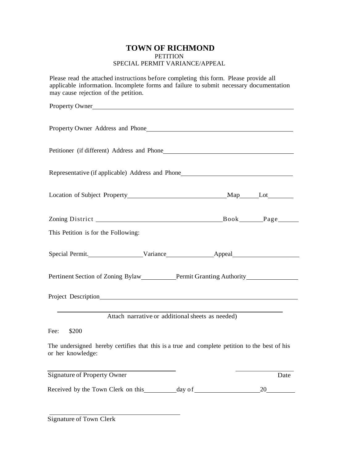## **TOWN OF RICHMOND**  PETITION SPECIAL PERMIT VARIANCE/APPEAL

Please read the attached instructions before completing this form. Please provide all applicable information. Incomplete forms and failure to submit necessary documentation may cause rejection of the petition.

| Property Owner                                                                                                     |                                                  |      |
|--------------------------------------------------------------------------------------------------------------------|--------------------------------------------------|------|
| Property Owner Address and Phone <b>Example 2018</b>                                                               |                                                  |      |
| Petitioner (if different) Address and Phone                                                                        |                                                  |      |
| Representative (if applicable) Address and Phone_________________________________                                  |                                                  |      |
|                                                                                                                    |                                                  |      |
|                                                                                                                    |                                                  |      |
| This Petition is for the Following:                                                                                |                                                  |      |
| Special Permit. Variance Appeal Appeal                                                                             |                                                  |      |
|                                                                                                                    |                                                  |      |
|                                                                                                                    |                                                  |      |
|                                                                                                                    | Attach narrative or additional sheets as needed) |      |
| Fee:<br>\$200                                                                                                      |                                                  |      |
| The undersigned hereby certifies that this is a true and complete petition to the best of his<br>or her knowledge: |                                                  |      |
| <b>Signature of Property Owner</b>                                                                                 |                                                  | Date |
| Received by the Town Clerk on this _________ day of _____________________________                                  |                                                  | 20   |

Signature of Town Clerk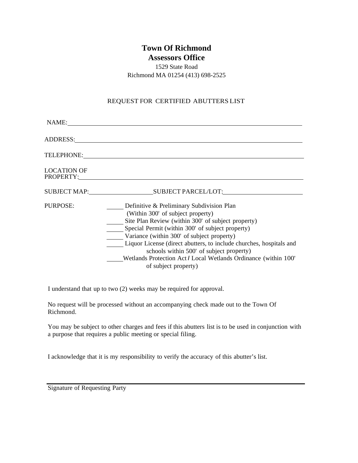# **Town Of Richmond**

**Assessors Office** 

1529 State Road Richmond MA 01254 (413) 698-2525

# REQUEST FOR CERTIFIED ABUTTERS LIST

| NAME:                           |                                                                                                                                                                                                                                                                                                                                                                                                                                                      |
|---------------------------------|------------------------------------------------------------------------------------------------------------------------------------------------------------------------------------------------------------------------------------------------------------------------------------------------------------------------------------------------------------------------------------------------------------------------------------------------------|
| ADDRESS:                        |                                                                                                                                                                                                                                                                                                                                                                                                                                                      |
| TELEPHONE:                      |                                                                                                                                                                                                                                                                                                                                                                                                                                                      |
| <b>LOCATION OF</b><br>PROPERTY: |                                                                                                                                                                                                                                                                                                                                                                                                                                                      |
|                                 | SUBJECT MAP: SUBJECT PARCEL/LOT:                                                                                                                                                                                                                                                                                                                                                                                                                     |
| PURPOSE:                        | Definitive & Preliminary Subdivision Plan<br>(Within 300' of subject property)<br>Site Plan Review (within 300' of subject property)<br>Special Permit (within 300' of subject property)<br>Variance (within 300' of subject property)<br>Liquor License (direct abutters, to include churches, hospitals and<br>schools within 500' of subject property)<br>Wetlands Protection Act / Local Wetlands Ordinance (within 100'<br>of subject property) |

I understand that up to two (2) weeks may be required for approval.

No request will be processed without an accompanying check made out to the Town Of Richmond.

You may be subject to other charges and fees if this abutters list is to be used in conjunction with a purpose that requires a public meeting or special filing.

I acknowledge that it is my responsibility to verify the accuracy of this abutter's list.

Signature of Requesting Party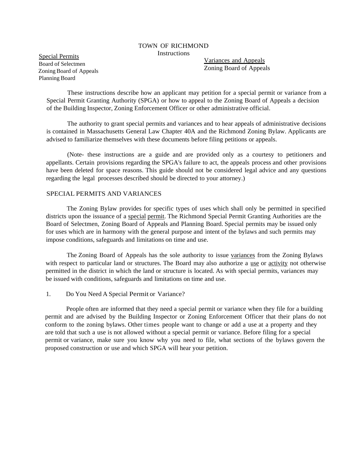#### TOWN OF RICHMOND **Instructions**

Special Permits Board of Selectmen Zoning Board of Appeals Planning Board

Variances and Appeals Zoning Board of Appeals

These instructions describe how an applicant may petition for a special permit or variance from a Special Permit Granting Authority (SPGA) or how to appeal to the Zoning Board of Appeals a decision of the Building Inspector, Zoning Enforcement Officer or other administrative official.

The authority to grant special permits and variances and to hear appeals of administrative decisions is contained in Massachusetts General Law Chapter 40A and the Richmond Zoning Bylaw. Applicants are advised to familiarize themselves with these documents before filing petitions or appeals.

(Note- these instructions are a guide and are provided only as a courtesy to petitioners and appellants. Certain provisions regarding the SPGA's failure to act, the appeals process and other provisions have been deleted for space reasons. This guide should not be considered legal advice and any questions regarding the legal processes described should be directed to your attorney.)

## SPECIAL PERMITS AND VARIANCES

The Zoning Bylaw provides for specific types of uses which shall only be permitted in specified districts upon the issuance of a special permit. The Richmond Special Permit Granting Authorities are the Board of Selectmen, Zoning Board of Appeals and Planning Board. Special permits may be issued only for uses which are in harmony with the general purpose and intent of the bylaws and such permits may impose conditions, safeguards and limitations on time and use.

The Zoning Board of Appeals has the sole authority to issue variances from the Zoning Bylaws with respect to particular land or structures. The Board may also authorize a use or activity not otherwise permitted in the district in which the land or structure is located. As with special permits, variances may be issued with conditions, safeguards and limitations on time and use.

## 1. Do You Need A Special Permit or Variance?

People often are informed that they need a special permit or variance when they file for a building permit and are advised by the Building Inspector or Zoning Enforcement Officer that their plans do not conform to the zoning bylaws. Other times people want to change or add a use at a property and they are told that such a use is not allowed without a special permit or variance. Before filing for a special permit or variance, make sure you know why you need to file, what sections of the bylaws govern the proposed construction or use and which SPGA will hear your petition.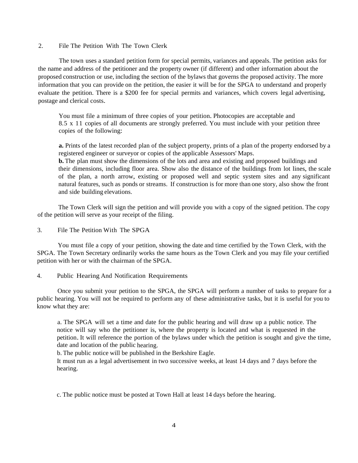2. File The Petition With The Town Clerk

The town uses a standard petition form for special permits, variances and appeals. The petition asks for the name and address of the petitioner and the property owner (if different) and other information about the proposed construction or use, including the section of the bylaws that governs the proposed activity. The more information that you can provide on the petition, the easier it will be for the SPGA to understand and properly evaluate the petition. There is a \$200 fee for special permits and variances, which covers legal advertising, postage and clerical costs.

You must file a minimum of three copies of your petition. Photocopies are acceptable and 8.5 x 11 copies of all documents are strongly preferred. You must include with your petition three copies of the following:

**a.** Prints of the latest recorded plan of the subject property, prints of a plan of the property endorsed by a registered engineer or surveyor or copies of the applicable Assessors' Maps.

**b.** The plan must show the dimensions of the lots and area and existing and proposed buildings and their dimensions, including floor area. Show also the distance of the buildings from lot lines, the scale of the plan, a north arrow, existing or proposed well and septic system sites and any significant natural features, such as ponds or streams. If construction is for more than one story, also show the front and side building elevations.

The Town Clerk will sign the petition and will provide you with a copy of the signed petition. The copy of the petition will serve as your receipt of the filing.

3. File The Petition With The SPGA

You must file a copy of your petition, showing the date and time certified by the Town Clerk, with the SPGA. The Town Secretary ordinarily works the same hours as the Town Clerk and you may file your certified petition with her or with the chairman of the SPGA.

4. Public Hearing And Notification Requirements

Once you submit your petition to the SPGA, the SPGA will perform a number of tasks to prepare for a public hearing. You will not be required to perform any of these administrative tasks, but it is useful for you to know what they are:

a. The SPGA will set a time and date for the public hearing and will draw up a public notice. The notice will say who the petitioner is, where the property is located and what is requested in the petition.It will reference the portion of the bylaws under which the petition is sought and give the time, date and location of the public hearing.

b. The public notice will be published in the Berkshire Eagle.

It must run as a legal advertisement in two successive weeks, at least 14 days and 7 days before the hearing.

c. The public notice must be posted at Town Hall at least 14 days before the hearing.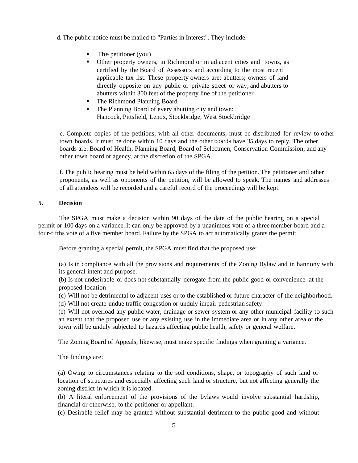- d. The public notice must be mailed to "Parties in Interest". They include:
	- $\blacksquare$  The petitioner (you)
	- Other property owners, in Richmond or in adjacent cities and towns, as certified by the Board of Assessors and according to the most recent applicable tax list. These property owners are: abutters; owners of land directly opposite on any public or private street or way; and abutters to abutters within 300 feet of the property line of the petitioner
	- The Richmond Planning Board
	- The Planning Board of every abutting city and town: Hancock, Pittsfield, Lenox, Stockbridge, West Stockbridge

e. Complete copies of the petitions, with all other documents, must be distributed for review to other town boards. It must be done within 10 days and the other boards have *35* days to reply. The other boards are: Board of Health, Planning Board, Board of Selectmen, Conservation Commission, and any other town board or agency, at the discretion of the SPGA.

f. The public hearing must be held within *65* days of the filing of the petition. The petitioner and other proponents, as well as opponents of the petition, will be allowed to speak. The names and addresses of all attendees will be recorded and a careful record of the proceedings will be kept.

## **5. Decision**

The SPGA must make a decision within 90 days of the date of the public hearing on a special permit or 100 days on a variance. It can only be approved by a unanimous vote of a three member board and a four-fifths vote of a five member board. Failure by the SPGA to act automatically grants the permit.

Before granting a special permit, the SPGA must find that the proposed use:

(a) Is in compliance with all the provisions and requirements of the Zoning Bylaw and in hannony with its general intent and purpose.

(b) Is not undesirable or does not substantially derogate from the public good or convenience at the proposed location

(c) Will not be detrimental to adjacent uses or to the established or future character of the neighborhood.

(d) Will not create undue traffic congestion or unduly impair pedestrian safety.

(e) Will not overload any public water, drainage or sewer system or any other municipal facility to such an extent that the proposed use or any existing use in the immediate area or in any other area of the town will be unduly subjected to hazards affecting public health, safety or general welfare.

The Zoning Board of Appeals, likewise, must make specific findings when granting a variance.

The findings are:

(a) Owing to circumstances relating to the soil conditions, shape, or topography of such land or location of structures and especially affecting such land or structure, but not affecting generally the zoning district in which it is located.

(b) A literal enforcement of the provisions of the bylaws would involve substantial hardship, financial or otherwise, to the petitioner or appellant.

(c) Desirable relief may be granted without substantial detriment to the public good and without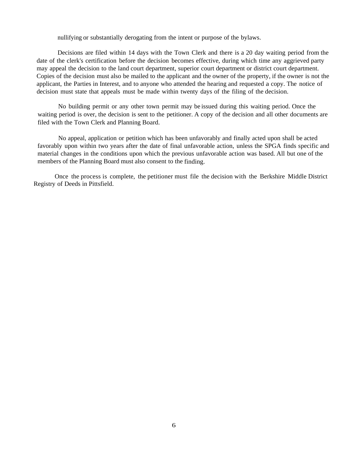nullifying or substantially derogating from the intent or purpose of the bylaws.

Decisions are filed within 14 days with the Town Clerk and there is a 20 day waiting period from the date of the clerk's certification before the decision becomes effective, during which time any aggrieved party may appeal the decision to the land court department, superior court department or district court department. Copies of the decision must also be mailed to the applicant and the owner of the property, if the owner is not the applicant, the Parties in Interest, and to anyone who attended the hearing and requested a copy. The notice of decision must state that appeals must be made within twenty days of the filing of the decision.

No building permit or any other town permit may be issued during this waiting period. Once the waiting period is over, the decision is sent to the petitioner. A copy of the decision and all other documents are filed with the Town Clerk and Planning Board.

No appeal, application or petition which has been unfavorably and finally acted upon shall be acted favorably upon within two years after the date of final unfavorable action, unless the SPGA finds specific and material changes in the conditions upon which the previous unfavorable action was based. All but one of the members of the Planning Board must also consent to the finding.

Once the process is complete, the petitioner must file the decision with the Berkshire Middle District Registry of Deeds in Pittsfield.